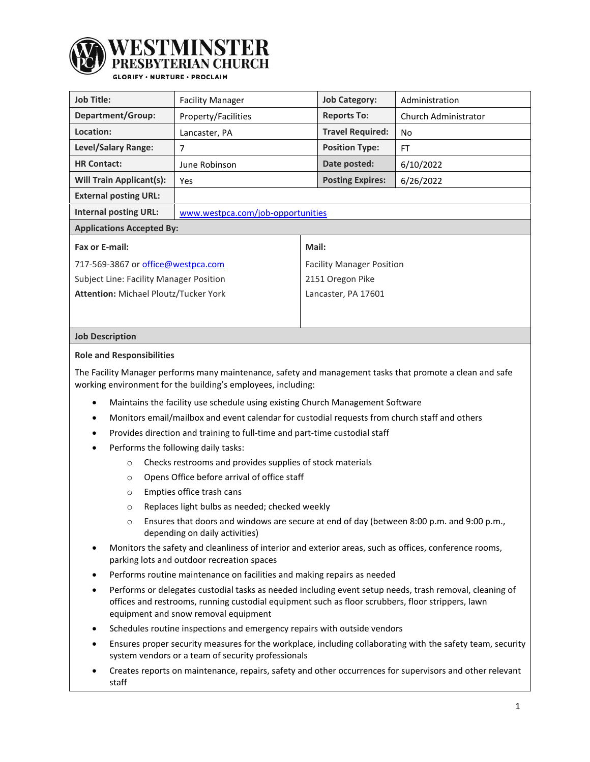

YFMINS'I

## **SLORIFY · NURTURE · PROCLAIM**

| <b>Job Title:</b>                              | <b>Facility Manager</b>           |                                  | <b>Job Category:</b>    | Administration       |  |
|------------------------------------------------|-----------------------------------|----------------------------------|-------------------------|----------------------|--|
| Department/Group:                              | Property/Facilities               |                                  | <b>Reports To:</b>      | Church Administrator |  |
| Location:                                      | Lancaster, PA                     |                                  | <b>Travel Required:</b> | No                   |  |
| Level/Salary Range:                            | 7                                 |                                  | <b>Position Type:</b>   | <b>FT</b>            |  |
| <b>HR Contact:</b>                             | June Robinson                     |                                  | Date posted:            | 6/10/2022            |  |
| <b>Will Train Applicant(s):</b>                | Yes                               |                                  | <b>Posting Expires:</b> | 6/26/2022            |  |
| <b>External posting URL:</b>                   |                                   |                                  |                         |                      |  |
| <b>Internal posting URL:</b>                   | www.westpca.com/job-opportunities |                                  |                         |                      |  |
| <b>Applications Accepted By:</b>               |                                   |                                  |                         |                      |  |
| Fax or E-mail:                                 |                                   | Mail:                            |                         |                      |  |
| 717-569-3867 or office@westpca.com             |                                   | <b>Facility Manager Position</b> |                         |                      |  |
| <b>Subject Line: Facility Manager Position</b> |                                   | 2151 Oregon Pike                 |                         |                      |  |
| <b>Attention: Michael Ploutz/Tucker York</b>   |                                   | Lancaster, PA 17601              |                         |                      |  |
|                                                |                                   |                                  |                         |                      |  |

### **Job Description**

#### **Role and Responsibilities**

The Facility Manager performs many maintenance, safety and management tasks that promote a clean and safe working environment for the building's employees, including:

- Maintains the facility use schedule using existing Church Management Software
- Monitors email/mailbox and event calendar for custodial requests from church staff and others
- Provides direction and training to full-time and part-time custodial staff
- Performs the following daily tasks:
	- o Checks restrooms and provides supplies of stock materials
	- o Opens Office before arrival of office staff
	- o Empties office trash cans
	- o Replaces light bulbs as needed; checked weekly
	- o Ensures that doors and windows are secure at end of day (between 8:00 p.m. and 9:00 p.m., depending on daily activities)
- Monitors the safety and cleanliness of interior and exterior areas, such as offices, conference rooms, parking lots and outdoor recreation spaces
- Performs routine maintenance on facilities and making repairs as needed
- Performs or delegates custodial tasks as needed including event setup needs, trash removal, cleaning of offices and restrooms, running custodial equipment such as floor scrubbers, floor strippers, lawn equipment and snow removal equipment
- Schedules routine inspections and emergency repairs with outside vendors
- Ensures proper security measures for the workplace, including collaborating with the safety team, security system vendors or a team of security professionals
- Creates reports on maintenance, repairs, safety and other occurrences for supervisors and other relevant staff